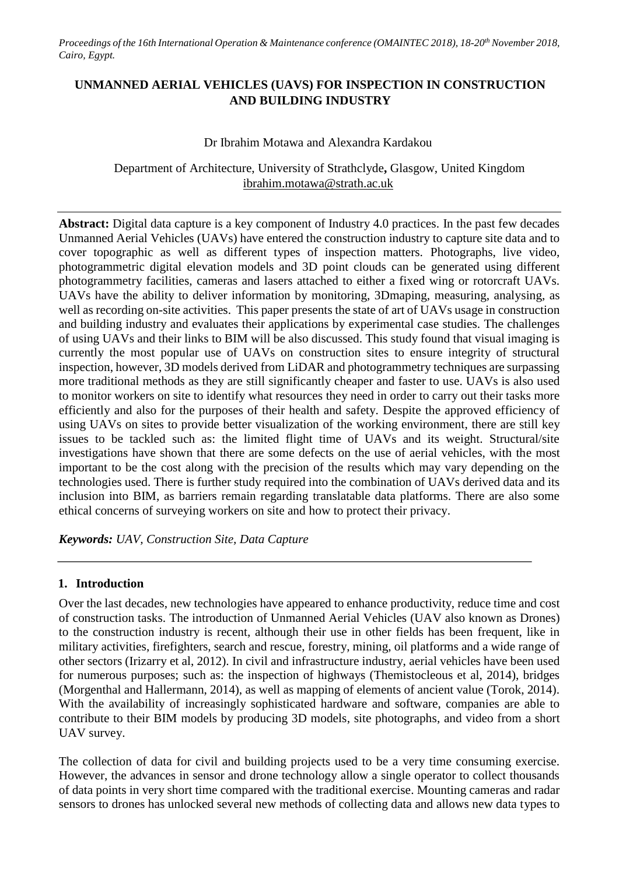*Proceedings of the 16th International Operation & Maintenance conference (OMAINTEC 2018), 18-20th November 2018, Cairo, Egypt.*

### **UNMANNED AERIAL VEHICLES (UAVS) FOR INSPECTION IN CONSTRUCTION AND BUILDING INDUSTRY**

#### Dr Ibrahim Motawa and Alexandra Kardakou

Department of Architecture, University of Strathclyde**,** Glasgow, United Kingdom [ibrahim.motawa@strath.ac.uk](mailto:ibrahim.motawa@strath.ac.uk)

**Abstract:** Digital data capture is a key component of Industry 4.0 practices. In the past few decades Unmanned Aerial Vehicles (UAVs) have entered the construction industry to capture site data and to cover topographic as well as different types of inspection matters. Photographs, live video, photogrammetric digital elevation models and 3D point clouds can be generated using different photogrammetry facilities, cameras and lasers attached to either a fixed wing or rotorcraft UAVs. UAVs have the ability to deliver information by monitoring, 3Dmaping, measuring, analysing, as well as recording on-site activities. This paper presents the state of art of UAVs usage in construction and building industry and evaluates their applications by experimental case studies. The challenges of using UAVs and their links to BIM will be also discussed. This study found that visual imaging is currently the most popular use of UAVs on construction sites to ensure integrity of structural inspection, however, 3D models derived from LiDAR and photogrammetry techniques are surpassing more traditional methods as they are still significantly cheaper and faster to use. UAVs is also used to monitor workers on site to identify what resources they need in order to carry out their tasks more efficiently and also for the purposes of their health and safety. Despite the approved efficiency of using UAVs on sites to provide better visualization of the working environment, there are still key issues to be tackled such as: the limited flight time of UAVs and its weight. Structural/site investigations have shown that there are some defects on the use of aerial vehicles, with the most important to be the cost along with the precision of the results which may vary depending on the technologies used. There is further study required into the combination of UAVs derived data and its inclusion into BIM, as barriers remain regarding translatable data platforms. There are also some ethical concerns of surveying workers on site and how to protect their privacy.

*Keywords: UAV, Construction Site, Data Capture*

#### **1. Introduction**

Over the last decades, new technologies have appeared to enhance productivity, reduce time and cost of construction tasks. The introduction of Unmanned Aerial Vehicles (UAV also known as Drones) to the construction industry is recent, although their use in other fields has been frequent, like in military activities, firefighters, search and rescue, forestry, mining, oil platforms and a wide range of other sectors (Irizarry et al, 2012). In civil and infrastructure industry, aerial vehicles have been used for numerous purposes; such as: the inspection of highways (Themistocleous et al, 2014), bridges (Morgenthal and Hallermann, 2014), as well as mapping of elements of ancient value (Torok, 2014). With the availability of increasingly sophisticated hardware and software, companies are able to contribute to their BIM models by producing 3D models, site photographs, and video from a short UAV survey.

The collection of data for civil and building projects used to be a very time consuming exercise. However, the advances in sensor and drone technology allow a single operator to collect thousands of data points in very short time compared with the traditional exercise. Mounting cameras and radar sensors to drones has unlocked several new methods of collecting data and allows new data types to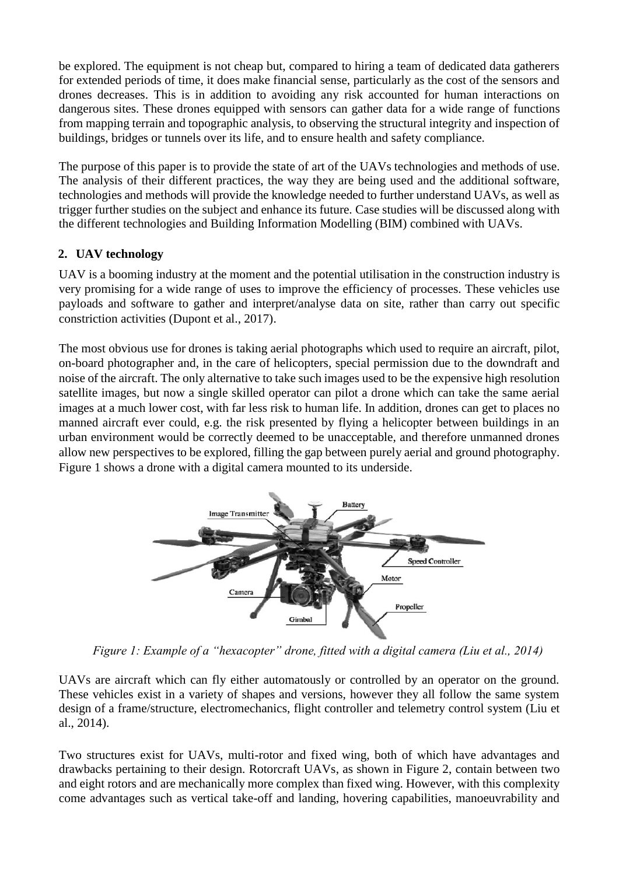be explored. The equipment is not cheap but, compared to hiring a team of dedicated data gatherers for extended periods of time, it does make financial sense, particularly as the cost of the sensors and drones decreases. This is in addition to avoiding any risk accounted for human interactions on dangerous sites. These drones equipped with sensors can gather data for a wide range of functions from mapping terrain and topographic analysis, to observing the structural integrity and inspection of buildings, bridges or tunnels over its life, and to ensure health and safety compliance.

The purpose of this paper is to provide the state of art of the UAVs technologies and methods of use. The analysis of their different practices, the way they are being used and the additional software, technologies and methods will provide the knowledge needed to further understand UAVs, as well as trigger further studies on the subject and enhance its future. Case studies will be discussed along with the different technologies and Building Information Modelling (BIM) combined with UAVs.

### **2. UAV technology**

UAV is a booming industry at the moment and the potential utilisation in the construction industry is very promising for a wide range of uses to improve the efficiency of processes. These vehicles use payloads and software to gather and interpret/analyse data on site, rather than carry out specific constriction activities (Dupont et al., 2017).

The most obvious use for drones is taking aerial photographs which used to require an aircraft, pilot, on-board photographer and, in the care of helicopters, special permission due to the downdraft and noise of the aircraft. The only alternative to take such images used to be the expensive high resolution satellite images, but now a single skilled operator can pilot a drone which can take the same aerial images at a much lower cost, with far less risk to human life. In addition, drones can get to places no manned aircraft ever could, e.g. the risk presented by flying a helicopter between buildings in an urban environment would be correctly deemed to be unacceptable, and therefore unmanned drones allow new perspectives to be explored, filling the gap between purely aerial and ground photography. Figure 1 shows a drone with a digital camera mounted to its underside.



*Figure 1: Example of a "hexacopter" drone, fitted with a digital camera (Liu et al., 2014)*

UAVs are aircraft which can fly either automatously or controlled by an operator on the ground. These vehicles exist in a variety of shapes and versions, however they all follow the same system design of a frame/structure, electromechanics, flight controller and telemetry control system (Liu et al., 2014).

Two structures exist for UAVs, multi-rotor and fixed wing, both of which have advantages and drawbacks pertaining to their design. Rotorcraft UAVs, as shown in Figure 2, contain between two and eight rotors and are mechanically more complex than fixed wing. However, with this complexity come advantages such as vertical take-off and landing, hovering capabilities, manoeuvrability and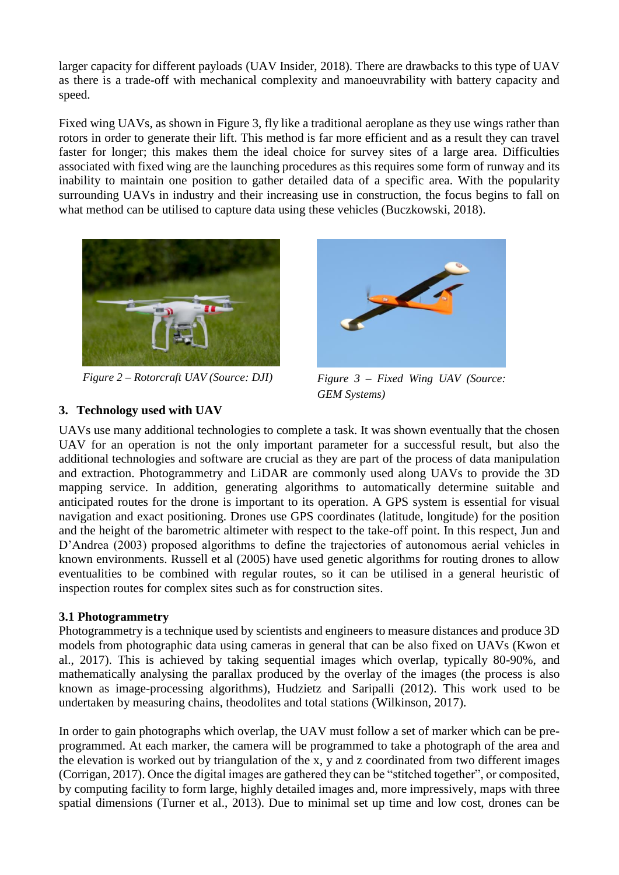larger capacity for different payloads (UAV Insider, 2018). There are drawbacks to this type of UAV as there is a trade-off with mechanical complexity and manoeuvrability with battery capacity and speed.

Fixed wing UAVs, as shown in Figure 3, fly like a traditional aeroplane as they use wings rather than rotors in order to generate their lift. This method is far more efficient and as a result they can travel faster for longer; this makes them the ideal choice for survey sites of a large area. Difficulties associated with fixed wing are the launching procedures as this requires some form of runway and its inability to maintain one position to gather detailed data of a specific area. With the popularity surrounding UAVs in industry and their increasing use in construction, the focus begins to fall on what method can be utilised to capture data using these vehicles (Buczkowski, 2018).



*Figure 2 – Rotorcraft UAV (Source: DJI)*

## **3. Technology used with UAV**



*Figure 3 – Fixed Wing UAV (Source: GEM Systems)*

UAVs use many additional technologies to complete a task. It was shown eventually that the chosen UAV for an operation is not the only important parameter for a successful result, but also the additional technologies and software are crucial as they are part of the process of data manipulation and extraction. Photogrammetry and LiDAR are commonly used along UAVs to provide the 3D mapping service. In addition, generating algorithms to automatically determine suitable and anticipated routes for the drone is important to its operation. A GPS system is essential for visual navigation and exact positioning. Drones use GPS coordinates (latitude, longitude) for the position and the height of the barometric altimeter with respect to the take-off point. In this respect, Jun and D'Andrea (2003) proposed algorithms to define the trajectories of autonomous aerial vehicles in known environments. Russell et al (2005) have used genetic algorithms for routing drones to allow eventualities to be combined with regular routes, so it can be utilised in a general heuristic of inspection routes for complex sites such as for construction sites.

### **3.1 Photogrammetry**

Photogrammetry is a technique used by scientists and engineers to measure distances and produce 3D models from photographic data using cameras in general that can be also fixed on UAVs (Kwon et al., 2017). This is achieved by taking sequential images which overlap, typically 80-90%, and mathematically analysing the parallax produced by the overlay of the images (the process is also known as image-processing algorithms), Hudzietz and Saripalli (2012). This work used to be undertaken by measuring chains, theodolites and total stations (Wilkinson, 2017).

In order to gain photographs which overlap, the UAV must follow a set of marker which can be preprogrammed. At each marker, the camera will be programmed to take a photograph of the area and the elevation is worked out by triangulation of the x, y and z coordinated from two different images (Corrigan, 2017). Once the digital images are gathered they can be "stitched together", or composited, by computing facility to form large, highly detailed images and, more impressively, maps with three spatial dimensions (Turner et al., 2013). Due to minimal set up time and low cost, drones can be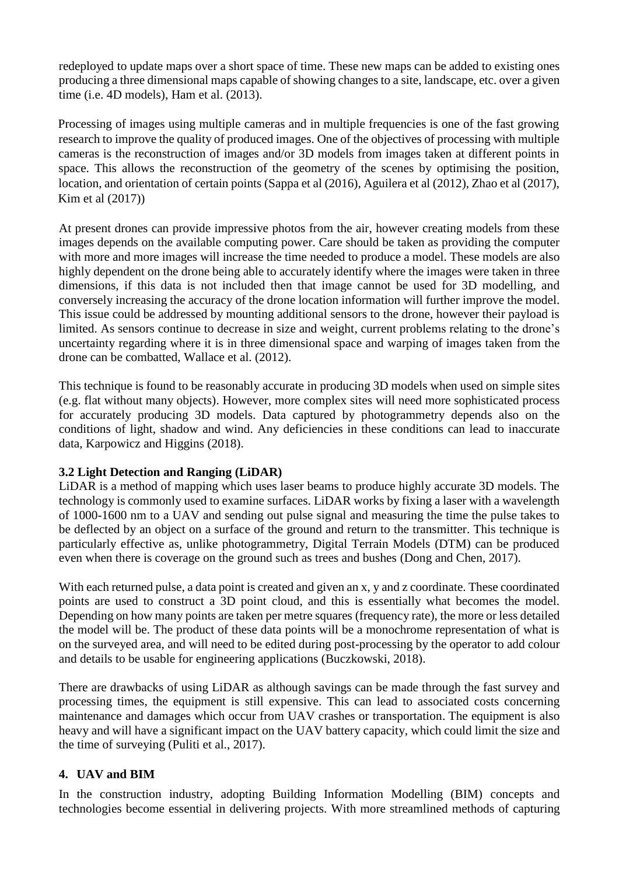redeployed to update maps over a short space of time. These new maps can be added to existing ones producing a three dimensional maps capable of showing changes to a site, landscape, etc. over a given time (i.e. 4D models), Ham et al. (2013).

Processing of images using multiple cameras and in multiple frequencies is one of the fast growing research to improve the quality of produced images. One of the objectives of processing with multiple cameras is the reconstruction of images and/or 3D models from images taken at different points in space. This allows the reconstruction of the geometry of the scenes by optimising the position, location, and orientation of certain points (Sappa et al (2016), Aguilera et al (2012), Zhao et al (2017), Kim et al (2017))

At present drones can provide impressive photos from the air, however creating models from these images depends on the available computing power. Care should be taken as providing the computer with more and more images will increase the time needed to produce a model. These models are also highly dependent on the drone being able to accurately identify where the images were taken in three dimensions, if this data is not included then that image cannot be used for 3D modelling, and conversely increasing the accuracy of the drone location information will further improve the model. This issue could be addressed by mounting additional sensors to the drone, however their payload is limited. As sensors continue to decrease in size and weight, current problems relating to the drone's uncertainty regarding where it is in three dimensional space and warping of images taken from the drone can be combatted, Wallace et al. (2012).

This technique is found to be reasonably accurate in producing 3D models when used on simple sites (e.g. flat without many objects). However, more complex sites will need more sophisticated process for accurately producing 3D models. Data captured by photogrammetry depends also on the conditions of light, shadow and wind. Any deficiencies in these conditions can lead to inaccurate data, Karpowicz and Higgins (2018).

### **3.2 Light Detection and Ranging (LiDAR)**

LiDAR is a method of mapping which uses laser beams to produce highly accurate 3D models. The technology is commonly used to examine surfaces. LiDAR works by fixing a laser with a wavelength of 1000-1600 nm to a UAV and sending out pulse signal and measuring the time the pulse takes to be deflected by an object on a surface of the ground and return to the transmitter. This technique is particularly effective as, unlike photogrammetry, Digital Terrain Models (DTM) can be produced even when there is coverage on the ground such as trees and bushes (Dong and Chen, 2017).

With each returned pulse, a data point is created and given an x, y and z coordinate. These coordinated points are used to construct a 3D point cloud, and this is essentially what becomes the model. Depending on how many points are taken per metre squares (frequency rate), the more or less detailed the model will be. The product of these data points will be a monochrome representation of what is on the surveyed area, and will need to be edited during post-processing by the operator to add colour and details to be usable for engineering applications (Buczkowski, 2018).

There are drawbacks of using LiDAR as although savings can be made through the fast survey and processing times, the equipment is still expensive. This can lead to associated costs concerning maintenance and damages which occur from UAV crashes or transportation. The equipment is also heavy and will have a significant impact on the UAV battery capacity, which could limit the size and the time of surveying (Puliti et al., 2017).

### **4. UAV and BIM**

In the construction industry, adopting Building Information Modelling (BIM) concepts and technologies become essential in delivering projects. With more streamlined methods of capturing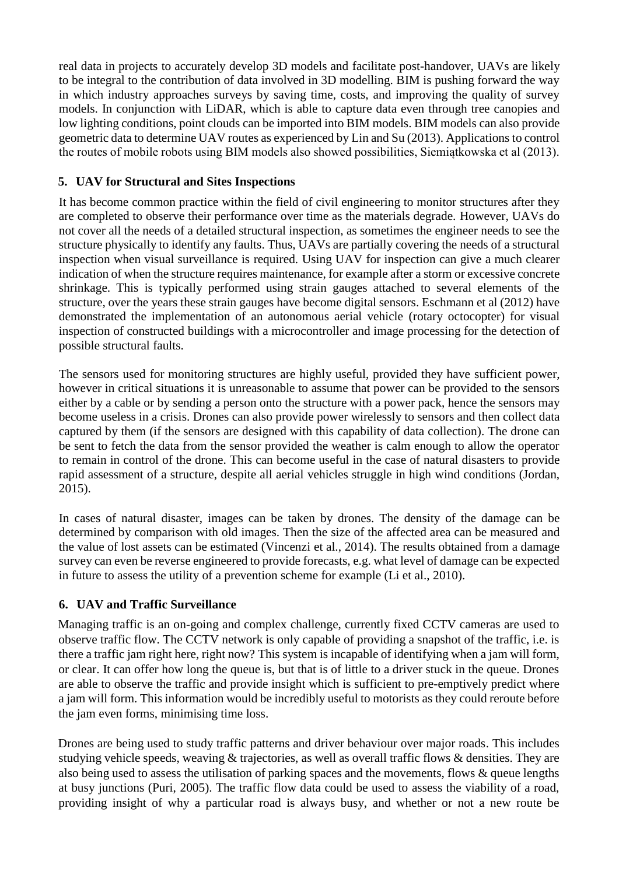real data in projects to accurately develop 3D models and facilitate post-handover, UAVs are likely to be integral to the contribution of data involved in 3D modelling. BIM is pushing forward the way in which industry approaches surveys by saving time, costs, and improving the quality of survey models. In conjunction with LiDAR, which is able to capture data even through tree canopies and low lighting conditions, point clouds can be imported into BIM models. BIM models can also provide geometric data to determine UAV routes as experienced by Lin and Su (2013). Applications to control the routes of mobile robots using BIM models also showed possibilities, Siemiątkowska et al (2013).

# **5. UAV for Structural and Sites Inspections**

It has become common practice within the field of civil engineering to monitor structures after they are completed to observe their performance over time as the materials degrade. However, UAVs do not cover all the needs of a detailed structural inspection, as sometimes the engineer needs to see the structure physically to identify any faults. Thus, UAVs are partially covering the needs of a structural inspection when visual surveillance is required. Using UAV for inspection can give a much clearer indication of when the structure requires maintenance, for example after a storm or excessive concrete shrinkage. This is typically performed using strain gauges attached to several elements of the structure, over the years these strain gauges have become digital sensors. Eschmann et al (2012) have demonstrated the implementation of an autonomous aerial vehicle (rotary octocopter) for visual inspection of constructed buildings with a microcontroller and image processing for the detection of possible structural faults.

The sensors used for monitoring structures are highly useful, provided they have sufficient power, however in critical situations it is unreasonable to assume that power can be provided to the sensors either by a cable or by sending a person onto the structure with a power pack, hence the sensors may become useless in a crisis. Drones can also provide power wirelessly to sensors and then collect data captured by them (if the sensors are designed with this capability of data collection). The drone can be sent to fetch the data from the sensor provided the weather is calm enough to allow the operator to remain in control of the drone. This can become useful in the case of natural disasters to provide rapid assessment of a structure, despite all aerial vehicles struggle in high wind conditions (Jordan, 2015).

In cases of natural disaster, images can be taken by drones. The density of the damage can be determined by comparison with old images. Then the size of the affected area can be measured and the value of lost assets can be estimated (Vincenzi et al., 2014). The results obtained from a damage survey can even be reverse engineered to provide forecasts, e.g. what level of damage can be expected in future to assess the utility of a prevention scheme for example (Li et al., 2010).

## **6. UAV and Traffic Surveillance**

Managing traffic is an on-going and complex challenge, currently fixed CCTV cameras are used to observe traffic flow. The CCTV network is only capable of providing a snapshot of the traffic, i.e. is there a traffic jam right here, right now? This system is incapable of identifying when a jam will form, or clear. It can offer how long the queue is, but that is of little to a driver stuck in the queue. Drones are able to observe the traffic and provide insight which is sufficient to pre-emptively predict where a jam will form. This information would be incredibly useful to motorists as they could reroute before the jam even forms, minimising time loss.

Drones are being used to study traffic patterns and driver behaviour over major roads. This includes studying vehicle speeds, weaving & trajectories, as well as overall traffic flows & densities. They are also being used to assess the utilisation of parking spaces and the movements, flows & queue lengths at busy junctions (Puri, 2005). The traffic flow data could be used to assess the viability of a road, providing insight of why a particular road is always busy, and whether or not a new route be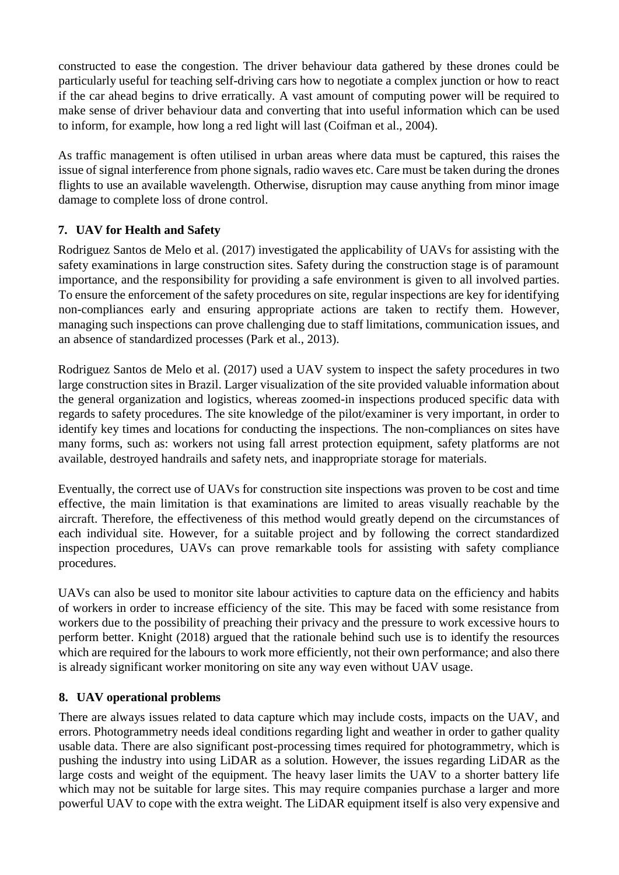constructed to ease the congestion. The driver behaviour data gathered by these drones could be particularly useful for teaching self-driving cars how to negotiate a complex junction or how to react if the car ahead begins to drive erratically. A vast amount of computing power will be required to make sense of driver behaviour data and converting that into useful information which can be used to inform, for example, how long a red light will last (Coifman et al., 2004).

As traffic management is often utilised in urban areas where data must be captured, this raises the issue of signal interference from phone signals, radio waves etc. Care must be taken during the drones flights to use an available wavelength. Otherwise, disruption may cause anything from minor image damage to complete loss of drone control.

# **7. UAV for Health and Safety**

Rodriguez Santos de Melo et al. (2017) investigated the applicability of UAVs for assisting with the safety examinations in large construction sites. Safety during the construction stage is of paramount importance, and the responsibility for providing a safe environment is given to all involved parties. To ensure the enforcement of the safety procedures on site, regular inspections are key for identifying non-compliances early and ensuring appropriate actions are taken to rectify them. However, managing such inspections can prove challenging due to staff limitations, communication issues, and an absence of standardized processes (Park et al., 2013).

Rodriguez Santos de Melo et al. (2017) used a UAV system to inspect the safety procedures in two large construction sites in Brazil. Larger visualization of the site provided valuable information about the general organization and logistics, whereas zoomed-in inspections produced specific data with regards to safety procedures. The site knowledge of the pilot/examiner is very important, in order to identify key times and locations for conducting the inspections. The non-compliances on sites have many forms, such as: workers not using fall arrest protection equipment, safety platforms are not available, destroyed handrails and safety nets, and inappropriate storage for materials.

Eventually, the correct use of UAVs for construction site inspections was proven to be cost and time effective, the main limitation is that examinations are limited to areas visually reachable by the aircraft. Therefore, the effectiveness of this method would greatly depend on the circumstances of each individual site. However, for a suitable project and by following the correct standardized inspection procedures, UAVs can prove remarkable tools for assisting with safety compliance procedures.

UAVs can also be used to monitor site labour activities to capture data on the efficiency and habits of workers in order to increase efficiency of the site. This may be faced with some resistance from workers due to the possibility of preaching their privacy and the pressure to work excessive hours to perform better. Knight (2018) argued that the rationale behind such use is to identify the resources which are required for the labours to work more efficiently, not their own performance; and also there is already significant worker monitoring on site any way even without UAV usage.

### **8. UAV operational problems**

There are always issues related to data capture which may include costs, impacts on the UAV, and errors. Photogrammetry needs ideal conditions regarding light and weather in order to gather quality usable data. There are also significant post-processing times required for photogrammetry, which is pushing the industry into using LiDAR as a solution. However, the issues regarding LiDAR as the large costs and weight of the equipment. The heavy laser limits the UAV to a shorter battery life which may not be suitable for large sites. This may require companies purchase a larger and more powerful UAV to cope with the extra weight. The LiDAR equipment itself is also very expensive and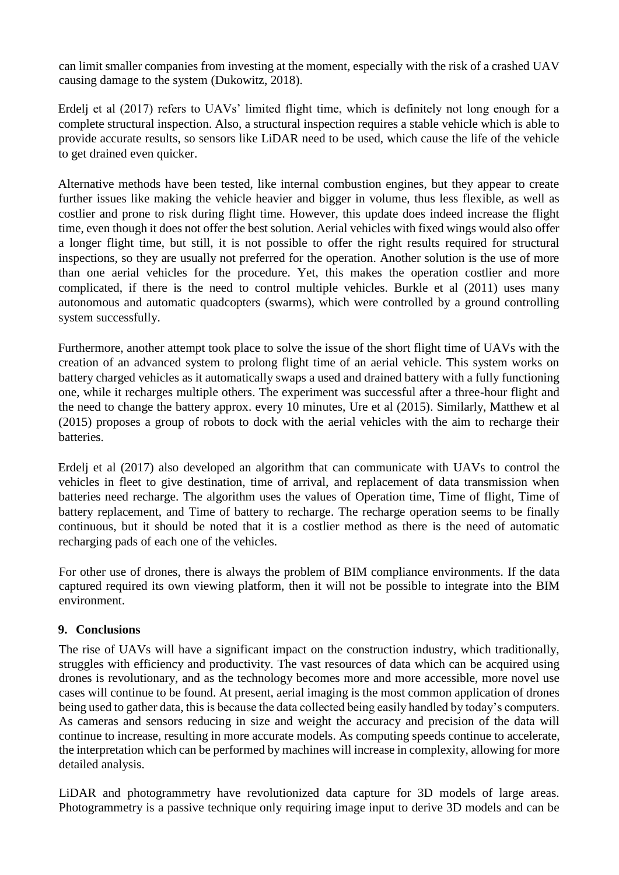can limit smaller companies from investing at the moment, especially with the risk of a crashed UAV causing damage to the system (Dukowitz, 2018).

Erdelj et al (2017) refers to UAVs' limited flight time, which is definitely not long enough for a complete structural inspection. Also, a structural inspection requires a stable vehicle which is able to provide accurate results, so sensors like LiDAR need to be used, which cause the life of the vehicle to get drained even quicker.

Alternative methods have been tested, like internal combustion engines, but they appear to create further issues like making the vehicle heavier and bigger in volume, thus less flexible, as well as costlier and prone to risk during flight time. However, this update does indeed increase the flight time, even though it does not offer the best solution. Aerial vehicles with fixed wings would also offer a longer flight time, but still, it is not possible to offer the right results required for structural inspections, so they are usually not preferred for the operation. Another solution is the use of more than one aerial vehicles for the procedure. Yet, this makes the operation costlier and more complicated, if there is the need to control multiple vehicles. Burkle et al (2011) uses many autonomous and automatic quadcopters (swarms), which were controlled by a ground controlling system successfully.

Furthermore, another attempt took place to solve the issue of the short flight time of UAVs with the creation of an advanced system to prolong flight time of an aerial vehicle. This system works on battery charged vehicles as it automatically swaps a used and drained battery with a fully functioning one, while it recharges multiple others. The experiment was successful after a three-hour flight and the need to change the battery approx. every 10 minutes, Ure et al (2015). Similarly, Matthew et al (2015) proposes a group of robots to dock with the aerial vehicles with the aim to recharge their batteries.

Erdelj et al (2017) also developed an algorithm that can communicate with UAVs to control the vehicles in fleet to give destination, time of arrival, and replacement of data transmission when batteries need recharge. The algorithm uses the values of Operation time, Time of flight, Time of battery replacement, and Time of battery to recharge. The recharge operation seems to be finally continuous, but it should be noted that it is a costlier method as there is the need of automatic recharging pads of each one of the vehicles.

For other use of drones, there is always the problem of BIM compliance environments. If the data captured required its own viewing platform, then it will not be possible to integrate into the BIM environment.

### **9. Conclusions**

The rise of UAVs will have a significant impact on the construction industry, which traditionally, struggles with efficiency and productivity. The vast resources of data which can be acquired using drones is revolutionary, and as the technology becomes more and more accessible, more novel use cases will continue to be found. At present, aerial imaging is the most common application of drones being used to gather data, this is because the data collected being easily handled by today's computers. As cameras and sensors reducing in size and weight the accuracy and precision of the data will continue to increase, resulting in more accurate models. As computing speeds continue to accelerate, the interpretation which can be performed by machines will increase in complexity, allowing for more detailed analysis.

LiDAR and photogrammetry have revolutionized data capture for 3D models of large areas. Photogrammetry is a passive technique only requiring image input to derive 3D models and can be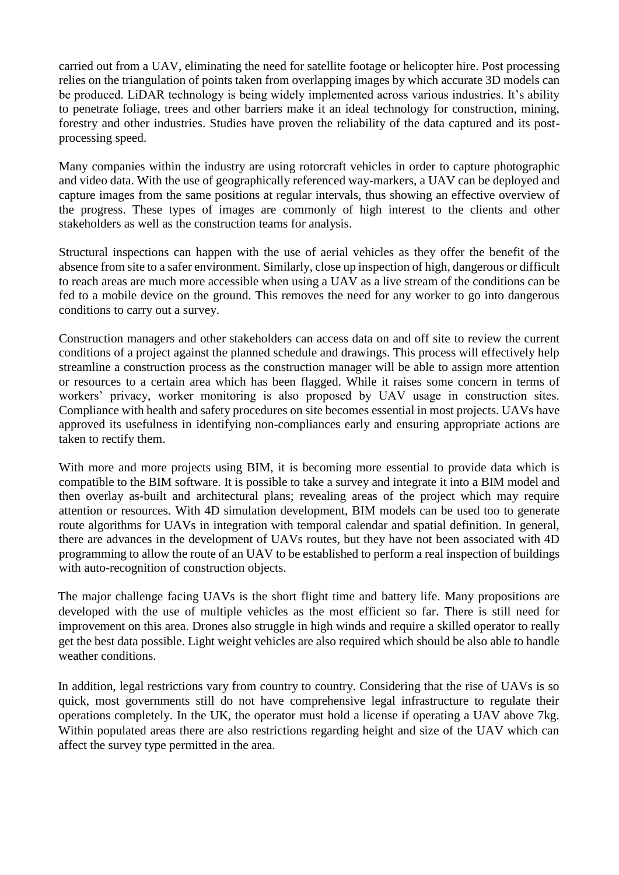carried out from a UAV, eliminating the need for satellite footage or helicopter hire. Post processing relies on the triangulation of points taken from overlapping images by which accurate 3D models can be produced. LiDAR technology is being widely implemented across various industries. It's ability to penetrate foliage, trees and other barriers make it an ideal technology for construction, mining, forestry and other industries. Studies have proven the reliability of the data captured and its postprocessing speed.

Many companies within the industry are using rotorcraft vehicles in order to capture photographic and video data. With the use of geographically referenced way-markers, a UAV can be deployed and capture images from the same positions at regular intervals, thus showing an effective overview of the progress. These types of images are commonly of high interest to the clients and other stakeholders as well as the construction teams for analysis.

Structural inspections can happen with the use of aerial vehicles as they offer the benefit of the absence from site to a safer environment. Similarly, close up inspection of high, dangerous or difficult to reach areas are much more accessible when using a UAV as a live stream of the conditions can be fed to a mobile device on the ground. This removes the need for any worker to go into dangerous conditions to carry out a survey.

Construction managers and other stakeholders can access data on and off site to review the current conditions of a project against the planned schedule and drawings. This process will effectively help streamline a construction process as the construction manager will be able to assign more attention or resources to a certain area which has been flagged. While it raises some concern in terms of workers' privacy, worker monitoring is also proposed by UAV usage in construction sites. Compliance with health and safety procedures on site becomes essential in most projects. UAVs have approved its usefulness in identifying non-compliances early and ensuring appropriate actions are taken to rectify them.

With more and more projects using BIM, it is becoming more essential to provide data which is compatible to the BIM software. It is possible to take a survey and integrate it into a BIM model and then overlay as-built and architectural plans; revealing areas of the project which may require attention or resources. With 4D simulation development, BIM models can be used too to generate route algorithms for UAVs in integration with temporal calendar and spatial definition. In general, there are advances in the development of UAVs routes, but they have not been associated with 4D programming to allow the route of an UAV to be established to perform a real inspection of buildings with auto-recognition of construction objects.

The major challenge facing UAVs is the short flight time and battery life. Many propositions are developed with the use of multiple vehicles as the most efficient so far. There is still need for improvement on this area. Drones also struggle in high winds and require a skilled operator to really get the best data possible. Light weight vehicles are also required which should be also able to handle weather conditions.

In addition, legal restrictions vary from country to country. Considering that the rise of UAVs is so quick, most governments still do not have comprehensive legal infrastructure to regulate their operations completely. In the UK, the operator must hold a license if operating a UAV above 7kg. Within populated areas there are also restrictions regarding height and size of the UAV which can affect the survey type permitted in the area.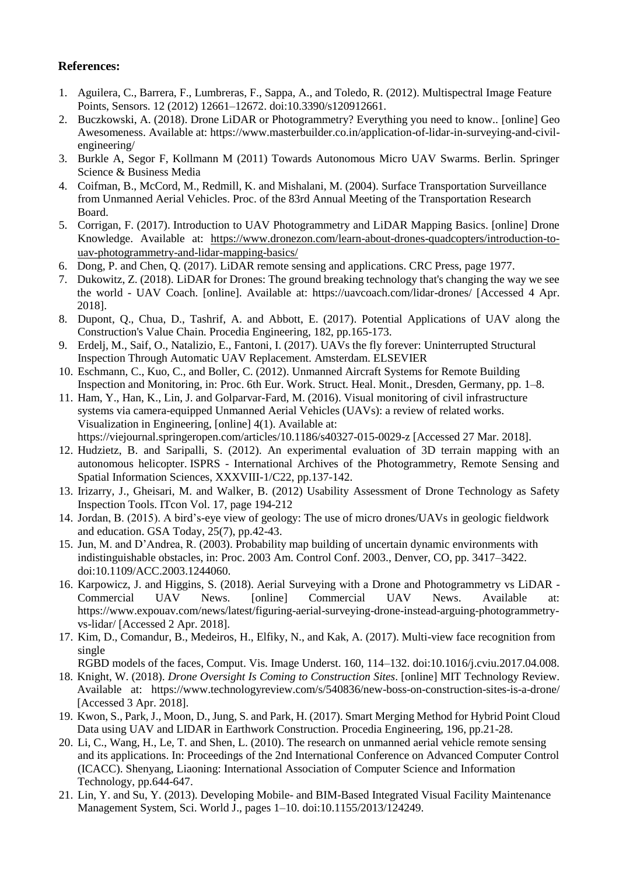#### **References:**

- 1. Aguilera, C., Barrera, F., Lumbreras, F., Sappa, A., and Toledo, R. (2012). Multispectral Image Feature Points, Sensors. 12 (2012) 12661–12672. doi:10.3390/s120912661.
- 2. Buczkowski, A. (2018). Drone LiDAR or Photogrammetry? Everything you need to know.. [online] Geo Awesomeness. Available at: https://www.masterbuilder.co.in/application-of-lidar-in-surveying-and-civilengineering/
- 3. Burkle A, Segor F, Kollmann M (2011) Towards Autonomous Micro UAV Swarms. Berlin. Springer Science & Business Media
- 4. Coifman, B., McCord, M., Redmill, K. and Mishalani, M. (2004). Surface Transportation Surveillance from Unmanned Aerial Vehicles. Proc. of the 83rd Annual Meeting of the Transportation Research Board.
- 5. Corrigan, F. (2017). Introduction to UAV Photogrammetry and LiDAR Mapping Basics. [online] Drone Knowledge. Available at: [https://www.dronezon.com/learn-about-drones-quadcopters/introduction-to](https://www.dronezon.com/learn-about-drones-quadcopters/introduction-to-uav-photogrammetry-and-lidar-mapping-basics/)[uav-photogrammetry-and-lidar-mapping-basics/](https://www.dronezon.com/learn-about-drones-quadcopters/introduction-to-uav-photogrammetry-and-lidar-mapping-basics/)
- 6. Dong, P. and Chen, Q. (2017). LiDAR remote sensing and applications. CRC Press, page 1977.
- 7. Dukowitz, Z. (2018). LiDAR for Drones: The ground breaking technology that's changing the way we see the world - UAV Coach. [online]. Available at: https://uavcoach.com/lidar-drones/ [Accessed 4 Apr. 2018].
- 8. Dupont, Q., Chua, D., Tashrif, A. and Abbott, E. (2017). Potential Applications of UAV along the Construction's Value Chain. Procedia Engineering, 182, pp.165-173.
- 9. Erdelj, M., Saif, O., Natalizio, E., Fantoni, I. (2017). UAVs the fly forever: Uninterrupted Structural Inspection Through Automatic UAV Replacement. Amsterdam. ELSEVIER
- 10. Eschmann, C., Kuo, C., and Boller, C. (2012). Unmanned Aircraft Systems for Remote Building Inspection and Monitoring, in: Proc. 6th Eur. Work. Struct. Heal. Monit., Dresden, Germany, pp. 1–8.
- 11. Ham, Y., Han, K., Lin, J. and Golparvar-Fard, M. (2016). Visual monitoring of civil infrastructure systems via camera-equipped Unmanned Aerial Vehicles (UAVs): a review of related works. Visualization in Engineering, [online] 4(1). Available at: https://viejournal.springeropen.com/articles/10.1186/s40327-015-0029-z [Accessed 27 Mar. 2018].
- 12. Hudzietz, B. and Saripalli, S. (2012). An experimental evaluation of 3D terrain mapping with an autonomous helicopter. ISPRS - International Archives of the Photogrammetry, Remote Sensing and Spatial Information Sciences, XXXVIII-1/C22, pp.137-142.
- 13. Irizarry, J., Gheisari, M. and Walker, B. (2012) Usability Assessment of Drone Technology as Safety Inspection Tools. ITcon Vol. 17, page 194-212
- 14. Jordan, B. (2015). A bird's-eye view of geology: The use of micro drones/UAVs in geologic fieldwork and education. GSA Today, 25(7), pp.42-43.
- 15. Jun, M. and D'Andrea, R. (2003). Probability map building of uncertain dynamic environments with indistinguishable obstacles, in: Proc. 2003 Am. Control Conf. 2003., Denver, CO, pp. 3417–3422. doi:10.1109/ACC.2003.1244060.
- 16. Karpowicz, J. and Higgins, S. (2018). Aerial Surveying with a Drone and Photogrammetry vs LiDAR Commercial UAV News. [online] Commercial UAV News. Available https://www.expouav.com/news/latest/figuring-aerial-surveying-drone-instead-arguing-photogrammetryvs-lidar/ [Accessed 2 Apr. 2018].
- 17. Kim, D., Comandur, B., Medeiros, H., Elfiky, N., and Kak, A. (2017). Multi-view face recognition from single

RGBD models of the faces, Comput. Vis. Image Underst. 160, 114–132. doi:10.1016/j.cviu.2017.04.008.

- 18. Knight, W. (2018). *Drone Oversight Is Coming to Construction Sites*. [online] MIT Technology Review. Available at: https://www.technologyreview.com/s/540836/new-boss-on-construction-sites-is-a-drone/ [Accessed 3 Apr. 2018].
- 19. Kwon, S., Park, J., Moon, D., Jung, S. and Park, H. (2017). Smart Merging Method for Hybrid Point Cloud Data using UAV and LIDAR in Earthwork Construction. Procedia Engineering, 196, pp.21-28.
- 20. Li, C., Wang, H., Le, T. and Shen, L. (2010). The research on unmanned aerial vehicle remote sensing and its applications. In: Proceedings of the 2nd International Conference on Advanced Computer Control (ICACC). Shenyang, Liaoning: International Association of Computer Science and Information Technology, pp.644-647.
- 21. Lin, Y. and Su, Y. (2013). Developing Mobile- and BIM-Based Integrated Visual Facility Maintenance Management System, Sci. World J., pages 1–10. doi:10.1155/2013/124249.